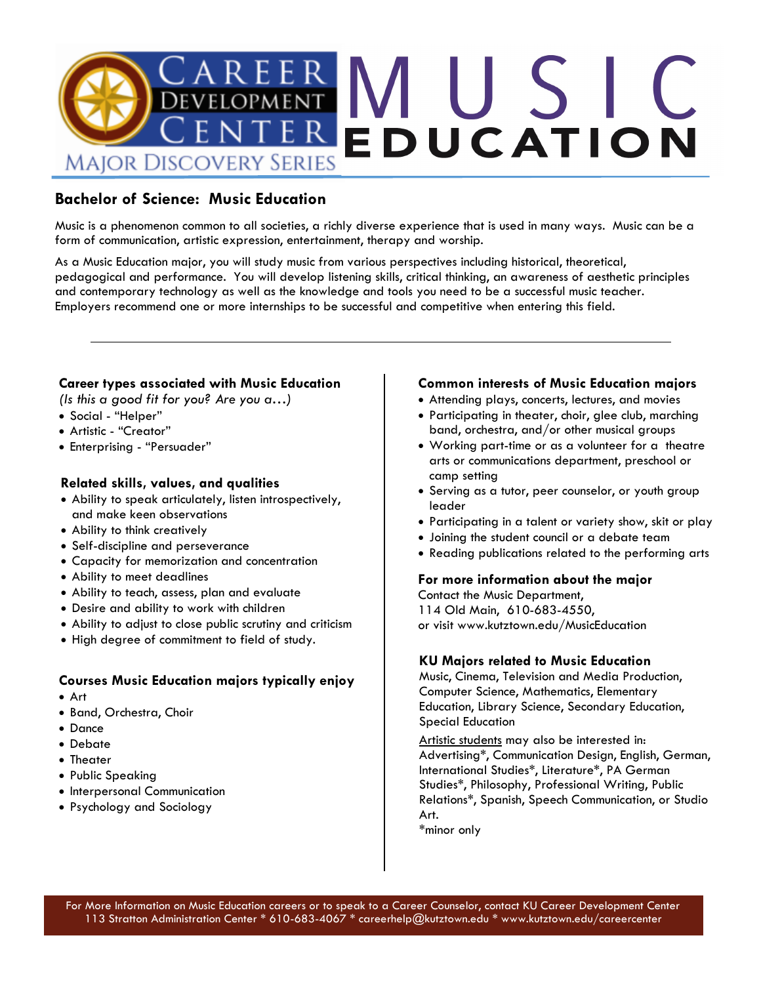

## **Bachelor of Science: Music Education**

Music is a phenomenon common to all societies, a richly diverse experience that is used in many ways. Music can be a form of communication, artistic expression, entertainment, therapy and worship.

As a Music Education major, you will study music from various perspectives including historical, theoretical, pedagogical and performance. You will develop listening skills, critical thinking, an awareness of aesthetic principles and contemporary technology as well as the knowledge and tools you need to be a successful music teacher. Employers recommend one or more internships to be successful and competitive when entering this field.

## **Career types associated with Music Education**

*(Is this a good fit for you? Are you a…)*

- Social "Helper"
- Artistic "Creator"
- Enterprising "Persuader"

## **Related skills, values, and qualities**

- Ability to speak articulately, listen introspectively, and make keen observations
- Ability to think creatively
- Self-discipline and perseverance
- Capacity for memorization and concentration
- Ability to meet deadlines
- Ability to teach, assess, plan and evaluate
- Desire and ability to work with children
- Ability to adjust to close public scrutiny and criticism
- High degree of commitment to field of study.

## **Courses Music Education majors typically enjoy**

- Art
- Band, Orchestra, Choir
- Dance
- Debate
- Theater
- Public Speaking
- Interpersonal Communication
- Psychology and Sociology

#### **Common interests of Music Education majors**

- Attending plays, concerts, lectures, and movies
- Participating in theater, choir, glee club, marching band, orchestra, and/or other musical groups
- Working part-time or as a volunteer for a theatre arts or communications department, preschool or camp setting
- Serving as a tutor, peer counselor, or youth group leader
- Participating in a talent or variety show, skit or play
- Joining the student council or a debate team
- Reading publications related to the performing arts

#### **For more information about the major**

Contact the Music Department, 114 Old Main, 610-683-4550, or visit www.kutztown.edu/MusicEducation

#### **KU Majors related to Music Education**

Music, Cinema, Television and Media Production, Computer Science, Mathematics, Elementary Education, Library Science, Secondary Education, Special Education

Artistic students may also be interested in: Advertising\*, Communication Design, English, German, International Studies\*, Literature\*, PA German Studies\*, Philosophy, Professional Writing, Public Relations\*, Spanish, Speech Communication, or Studio Art.

\*minor only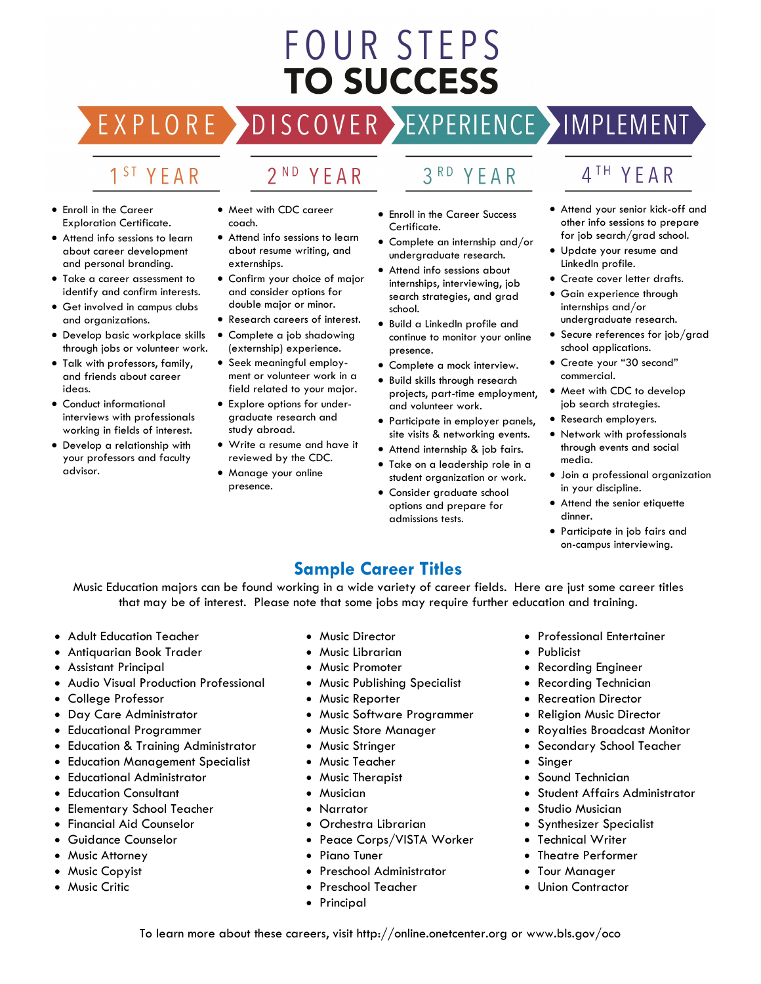# FOUR STEPS **TO SUCCESS**

DISCOVER EXPERIENCE MAPLEMENT EXPLORE

## 1<sup>ST</sup> YEAR

## 2<sup>ND</sup> YEAR

- Enroll in the Career Exploration Certificate.
- Attend info sessions to learn about career development and personal branding.
- Take a career assessment to identify and confirm interests.
- Get involved in campus clubs and organizations.
- Develop basic workplace skills through jobs or volunteer work.
- Talk with professors, family, and friends about career ideas.
- Conduct informational interviews with professionals working in fields of interest.
- Develop a relationship with your professors and faculty advisor.
- Meet with CDC career coach.
- Attend info sessions to learn about resume writing, and externships.
- Confirm your choice of major and consider options for double major or minor.
- Research careers of interest.
- Complete a job shadowing (externship) experience.
- Seek meaningful employment or volunteer work in a field related to your major.
- Explore options for undergraduate research and study abroad.
- Write a resume and have it reviewed by the CDC.
- Manage your online presence.

• Enroll in the Career Success

YEAR

 $3<sup>RD</sup>$ 

- Certificate. • Complete an internship and/or
- undergraduate research. • Attend info sessions about internships, interviewing, job
- search strategies, and grad school. • Build a LinkedIn profile and
- continue to monitor your online presence.
- Complete a mock interview.
- Build skills through research projects, part-time employment, and volunteer work.
- Participate in employer panels, site visits & networking events.
- Attend internship & job fairs.
- Take on a leadership role in a student organization or work.
- Consider graduate school options and prepare for admissions tests.

## 4<sup>TH</sup> YEAR

- Attend your senior kick-off and other info sessions to prepare for job search/grad school.
- Update your resume and LinkedIn profile.
- Create cover letter drafts.
- Gain experience through internships and/or undergraduate research.
- Secure references for job/grad school applications.
- Create your "30 second" commercial.
- Meet with CDC to develop job search strategies.
- Research employers.
- Network with professionals through events and social media.
- Join a professional organization in your discipline.
- Attend the senior etiquette dinner.
- Participate in job fairs and on-campus interviewing.

## **Sample Career Titles**

Music Education majors can be found working in a wide variety of career fields. Here are just some career titles that may be of interest. Please note that some jobs may require further education and training.

- Adult Education Teacher
- Antiquarian Book Trader
- Assistant Principal
- Audio Visual Production Professional
- College Professor
- Day Care Administrator
- Educational Programmer
- Education & Training Administrator
- Education Management Specialist
- Educational Administrator
- **Education Consultant**
- Elementary School Teacher
- Financial Aid Counselor
- Guidance Counselor
- Music Attorney
- Music Copyist
- Music Critic
- Music Director
- Music Librarian
- Music Promoter
- Music Publishing Specialist
- Music Reporter
- Music Software Programmer
- Music Store Manager
- Music Stringer
- Music Teacher
- Music Therapist
- Musician
- Narrator
- Orchestra Librarian
- Peace Corps/VISTA Worker
- Piano Tuner
- Preschool Administrator
- Preschool Teacher
- Principal
- Professional Entertainer
- Publicist
- Recording Engineer
- Recording Technician
- Recreation Director
- Religion Music Director
- Royalties Broadcast Monitor
- Secondary School Teacher
- **Singer**
- Sound Technician
- Student Affairs Administrator
- Studio Musician
- Synthesizer Specialist
- **Technical Writer**
- Theatre Performer
- **Tour Manager**
- Union Contractor

To learn more about these careers, visit http://online.onetcenter.org or www.bls.gov/oco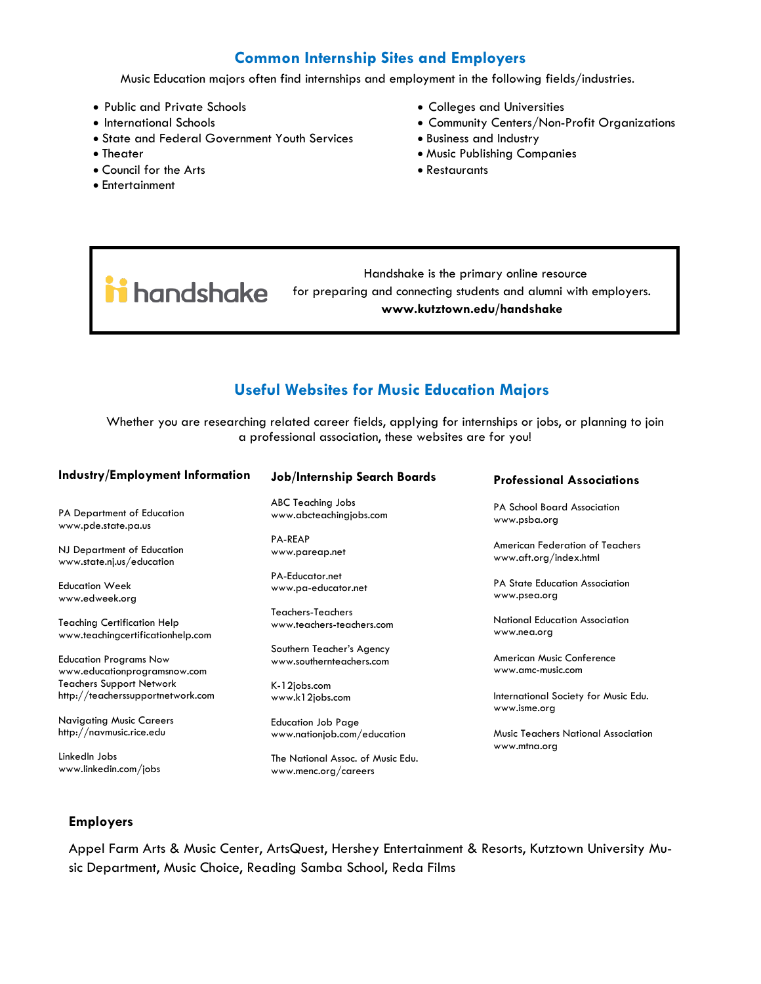## **Common Internship Sites and Employers**

Music Education majors often find internships and employment in the following fields/industries.

- Public and Private Schools
- International Schools
- State and Federal Government Youth Services
- Theater
- Council for the Arts
- Entertainment
- Colleges and Universities
- Community Centers/Non-Profit Organizations
- Business and Industry
- Music Publishing Companies
- Restaurants
- Handshake is the primary online resource ii handshake for preparing and connecting students and alumni with employers. **www.kutztown.edu/handshake**

## **Useful Websites for Music Education Majors**

Whether you are researching related career fields, applying for internships or jobs, or planning to join a professional association, these websites are for you!

| Industry/Employment Information    | <b>Job/Internship Search Boards</b> | <b>Professional Associations</b>           |
|------------------------------------|-------------------------------------|--------------------------------------------|
| PA Department of Education         | ABC Teaching Jobs                   | <b>PA School Board Association</b>         |
| www.pde.state.pa.us                | www.abcteachingjobs.com             | www.psba.org                               |
| NJ Department of Education         | <b>PA-REAP</b>                      | American Federation of Teachers            |
| www.state.nj.us/education          | www.pareap.net                      | www.aft.org/index.html                     |
| <b>Education Week</b>              | PA-Educator.net                     | <b>PA State Education Association</b>      |
| www.edweek.org                     | www.pa-educator.net                 | www.psea.org                               |
| <b>Teaching Certification Help</b> | Teachers-Teachers                   | National Education Association             |
| www.teachingcertificationhelp.com  | www.teachers-teachers.com           | www.nea.org                                |
| <b>Education Programs Now</b>      | Southern Teacher's Agency           | American Music Conference                  |
| www.educationprogramsnow.com       | www.southernteachers.com            | www.amc-music.com                          |
| <b>Teachers Support Network</b>    | K-12jobs.com                        | International Society for Music Edu.       |
| http://teacherssupportnetwork.com  | www.k12jobs.com                     | www.isme.org                               |
| <b>Navigating Music Careers</b>    | <b>Education Job Page</b>           | <b>Music Teachers National Association</b> |
| http://navmusic.rice.edu           | www.nationjob.com/education         | www.mtna.org                               |
| LinkedIn Jobs                      | The National Assoc. of Music Edu.   |                                            |

#### **Employers**

www.linkedin.com/jobs

Appel Farm Arts & Music Center, ArtsQuest, Hershey Entertainment & Resorts, Kutztown University Music Department, Music Choice, Reading Samba School, Reda Films

www.menc.org/careers